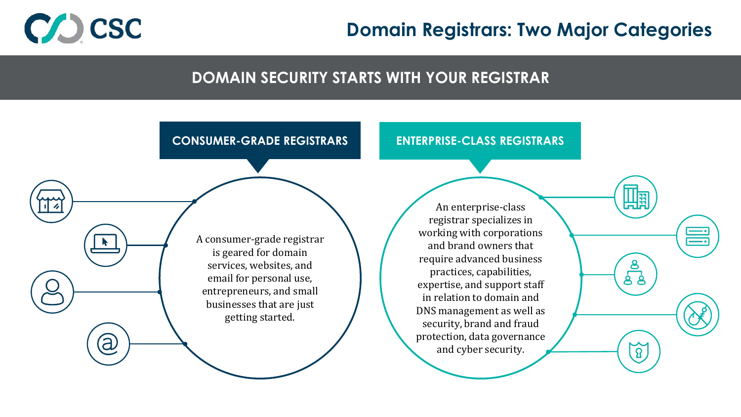

### **Domain Registrars: Two Major Categories**

#### **DOMAIN SECURITY STARTS WITH YOUR REGISTRAR**

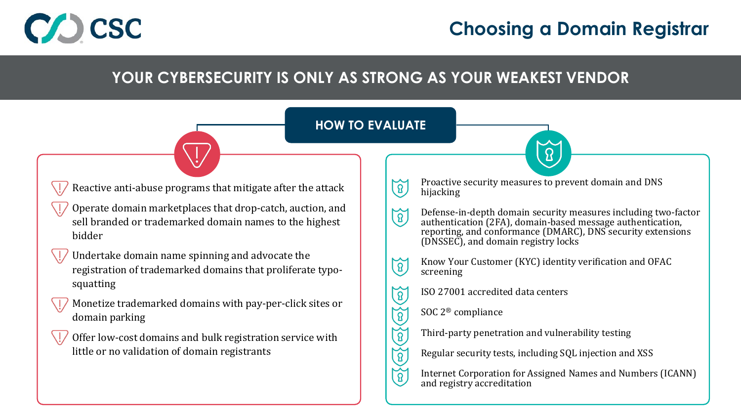

## **Choosing a Domain Registrar**

#### **YOUR CYBERSECURITY IS ONLY AS STRONG AS YOUR WEAKEST VENDOR**



 $\widetilde{\mathcal{B}}$ 

 $\widetilde{B}$ 

Offer low-cost domains and bulk registration service with little or no validation of domain registrants

Regular security tests, including SQL injection and XSS

Internet Corporation for Assigned Names and Numbers (ICANN) and registry accreditation